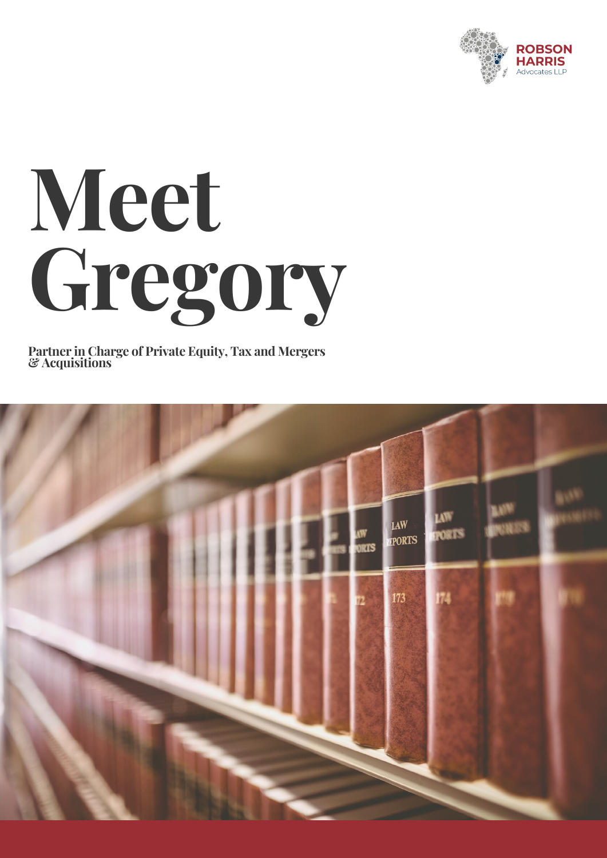

## **Meet Gregory**

**Partner in Charge of Private Equity, Tax and Mergers & Acquisitions**